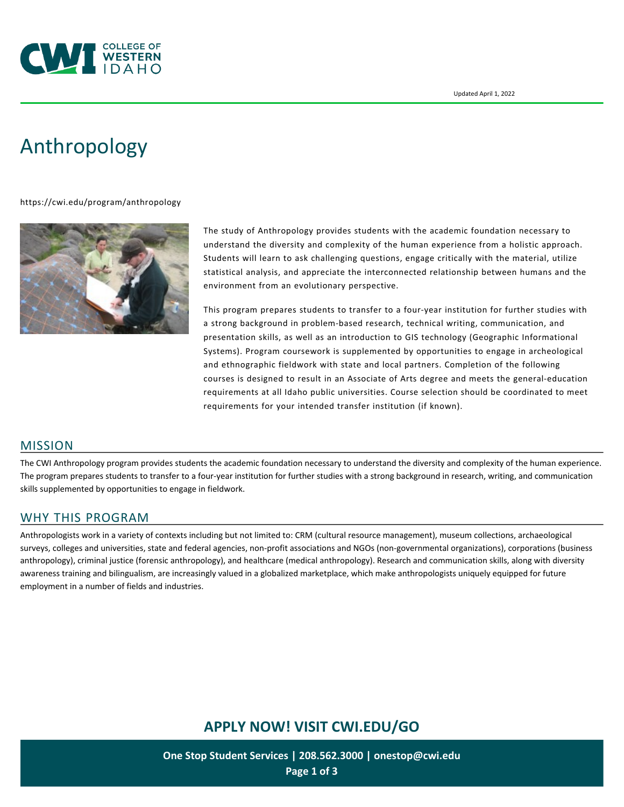

# [Anthropology](https://cwi.edu/program/anthropology)

#### <https://cwi.edu/program/anthropology>



The study of Anthropology provides students with the academic foundation necessary to understand the diversity and complexity of the human experience from a holistic approach. Students will learn to ask challenging questions, engage critically with the material, utilize statistical analysis, and appreciate the interconnected relationship between humans and the environment from an evolutionary perspective.

This program prepares students to transfer to a four-year institution for further studies with a strong background in problem-based research, technical writing, communication, and presentation skills, as well as an introduction to GIS technology (Geographic Informational Systems). Program coursework is supplemented by opportunities to engage in archeological and ethnographic fieldwork with state and local partners. Completion of the following courses is designed to result in an Associate of Arts degree and meets the general-education requirements at all Idaho public universities. Course selection should be coordinated to meet requirements for your intended transfer institution (if known).

#### MISSION

The CWI Anthropology program provides students the academic foundation necessary to understand the diversity and complexity of the human experience. The program prepares students to transfer to a four-year institution for further studies with a strong background in research, writing, and communication skills supplemented by opportunities to engage in fieldwork.

#### WHY THIS PROGRAM

Anthropologists work in a variety of contexts including but not limited to: CRM (cultural resource management), museum collections, archaeological surveys, colleges and universities, state and federal agencies, non-profit associations and NGOs (non-governmental organizations), corporations (business anthropology), criminal justice (forensic anthropology), and healthcare (medical anthropology). Research and communication skills, along with diversity awareness training and bilingualism, are increasingly valued in a globalized marketplace, which make anthropologists uniquely equipped for future employment in a number of fields and industries.

# **APPLY NOW! VISIT [CWI.EDU/GO](http://cwi.edu/go)**

**One Stop Student Services | 208.562.3000 | [onestop@cwi.edu](mailto:onestop@cwi.edu) Page 1 of 3**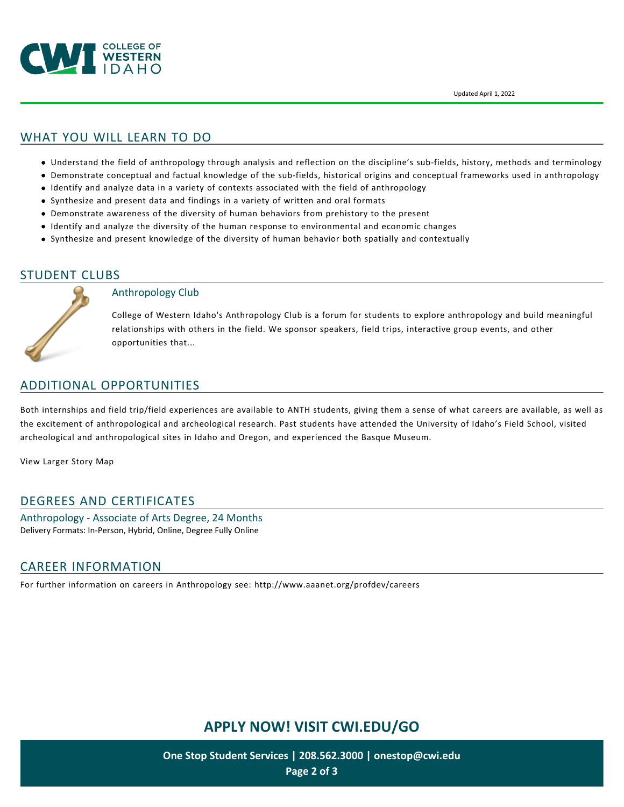

## WHAT YOU WILL LEARN TO DO

- Understand the field of anthropology through analysis and reflection on the discipline's sub-fields, history, methods and terminology
- Demonstrate conceptual and factual knowledge of the sub-fields, historical origins and conceptual frameworks used in anthropology
- Identify and analyze data in a variety of contexts associated with the field of anthropology
- Synthesize and present data and findings in a variety of written and oral formats
- Demonstrate awareness of the diversity of human behaviors from prehistory to the present
- Identify and analyze the diversity of the human response to environmental and economic changes
- Synthesize and present knowledge of the diversity of human behavior both spatially and contextually

#### STUDENT CLUBS



#### Anthropology Club

College of Western Idaho's Anthropology Club is a forum for students to explore anthropology and build meaningful relationships with others in the field. We sponsor speakers, field trips, interactive group events, and other opportunities that...

## ADDITIONAL OPPORTUNITIES

Both internships and field trip/field experiences are available to ANTH students, giving them a sense of what careers are available, as well as the excitement of anthropological and archeological research. Past students have attended the University of Idaho's Field School, visited archeological and anthropological sites in Idaho and Oregon, and experienced the Basque Museum.

[View Larger Story Map](https://cwi.maps.arcgis.com/apps/MapJournal/index.html?appid=7a7be9acd3ee460eb0b321e8bf97e755)

### DEGREES AND CERTIFICATES

Anthropology - Associate of Arts Degree, 24 Months Delivery Formats: In-Person, Hybrid, Online, Degree Fully Online

### CAREER INFORMATION

For further information on careers in Anthropology see: <http://www.aaanet.org/profdev/careers>

# **APPLY NOW! VISIT [CWI.EDU/GO](http://cwi.edu/go)**

**One Stop Student Services | 208.562.3000 | [onestop@cwi.edu](mailto:onestop@cwi.edu) Page 2 of 3**